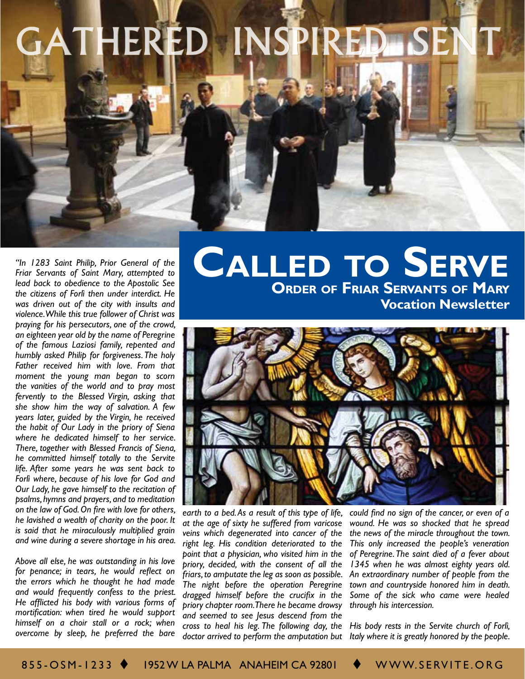# GATHERED INSPIRED SEI

*Friar Servants of Saint Mary, attempted to lead back to obedience to the Apostolic See the citizens of Forlì then under interdict. He was driven out of the city with insults and violence. While this true follower of Christ was praying for his persecutors, one of the crowd, an eighteen year old by the name of Peregrine of the famous Laziosi family, repented and humbly asked Philip for forgiveness. The holy Father received him with love. From that moment the young man began to scorn the vanities of the world and to pray most fervently to the Blessed Virgin, asking that she show him the way of salvation. A few years later, guided by the Virgin, he received the habit of Our Lady in the priory of Siena where he dedicated himself to her service. There, together with Blessed Francis of Siena, he committed himself totally to the Servite life. After some years he was sent back to Forlì where, because of his love for God and Our Lady, he gave himself to the recitation of psalms, hymns and prayers, and to meditation on the law of God. On fire with love for others, he lavished a wealth of charity on the poor. It is said that he miraculously multiplied grain and wine during a severe shortage in his area.*

*Above all else, he was outstanding in his love for penance; in tears, he would reflect on the errors which he thought he had made and would frequently confess to the priest. He afflicted his body with various forms of mortification: when tired he would support himself on a choir stall or a rock; when overcome by sleep, he preferred the bare* 

## **Order of Friar Servants of Mary Vocation Newsletter** *CALLED TO SERVE*



*earth to a bed. As a result of this type of life, at the age of sixty he suffered from varicose veins which degenerated into cancer of the right leg. His condition deteriorated to the point that a physician, who visited him in the priory, decided, with the consent of all the friars, to amputate the leg as soon as possible. The night before the operation Peregrine dragged himself before the crucifix in the priory chapter room. There he became drowsy and seemed to see Jesus descend from the cross to heal his leg. The following day, the* 

*could find no sign of the cancer, or even of a wound. He was so shocked that he spread the news of the miracle throughout the town. This only increased the people's veneration of Peregrine. The saint died of a fever about 1345 when he was almost eighty years old. An extraordinary number of people from the town and countryside honored him in death. Some of the sick who came were healed through his intercession.*

*doctor arrived to perform the amputation but Italy where it is greatly honored by the people. His body rests in the Servite church of Forlì,*